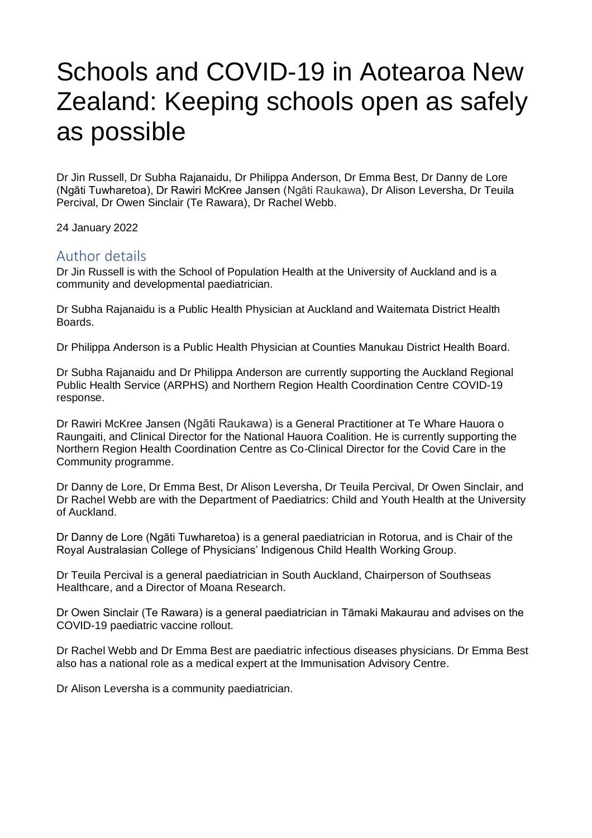# Schools and COVID-19 in Aotearoa New Zealand: Keeping schools open as safely as possible

Dr Jin Russell, Dr Subha Rajanaidu, Dr Philippa Anderson, Dr Emma Best, Dr Danny de Lore (Ngāti Tuwharetoa), Dr Rawiri McKree Jansen (Ngāti Raukawa), Dr Alison Leversha, Dr Teuila Percival, Dr Owen Sinclair (Te Rawara), Dr Rachel Webb.

24 January 2022

## Author details

Dr Jin Russell is with the School of Population Health at the University of Auckland and is a community and developmental paediatrician.

Dr Subha Rajanaidu is a Public Health Physician at Auckland and Waitemata District Health Boards.

Dr Philippa Anderson is a Public Health Physician at Counties Manukau District Health Board.

Dr Subha Rajanaidu and Dr Philippa Anderson are currently supporting the Auckland Regional Public Health Service (ARPHS) and Northern Region Health Coordination Centre COVID-19 response.

Dr Rawiri McKree Jansen (Ngāti Raukawa) is a General Practitioner at Te Whare Hauora o Raungaiti, and Clinical Director for the National Hauora Coalition. He is currently supporting the Northern Region Health Coordination Centre as Co-Clinical Director for the Covid Care in the Community programme.

Dr Danny de Lore, Dr Emma Best, Dr Alison Leversha, Dr Teuila Percival, Dr Owen Sinclair, and Dr Rachel Webb are with the Department of Paediatrics: Child and Youth Health at the University of Auckland.

Dr Danny de Lore (Ngāti Tuwharetoa) is a general paediatrician in Rotorua, and is Chair of the Royal Australasian College of Physicians' Indigenous Child Health Working Group.

Dr Teuila Percival is a general paediatrician in South Auckland, Chairperson of Southseas Healthcare, and a Director of Moana Research.

Dr Owen Sinclair (Te Rawara) is a general paediatrician in Tāmaki Makaurau and advises on the COVID-19 paediatric vaccine rollout.

Dr Rachel Webb and Dr Emma Best are paediatric infectious diseases physicians. Dr Emma Best also has a national role as a medical expert at the Immunisation Advisory Centre.

Dr Alison Leversha is a community paediatrician.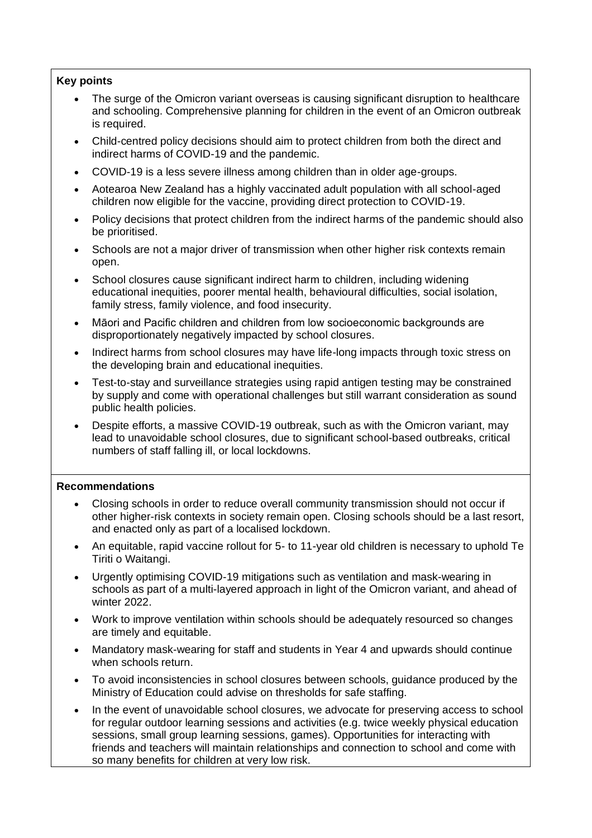## **Key points**

- The surge of the Omicron variant overseas is causing significant disruption to healthcare and schooling. Comprehensive planning for children in the event of an Omicron outbreak is required.
- Child-centred policy decisions should aim to protect children from both the direct and indirect harms of COVID-19 and the pandemic.
- COVID-19 is a less severe illness among children than in older age-groups.
- Aotearoa New Zealand has a highly vaccinated adult population with all school-aged children now eligible for the vaccine, providing direct protection to COVID-19.
- Policy decisions that protect children from the indirect harms of the pandemic should also be prioritised.
- Schools are not a major driver of transmission when other higher risk contexts remain open.
- School closures cause significant indirect harm to children, including widening educational inequities, poorer mental health, behavioural difficulties, social isolation, family stress, family violence, and food insecurity.
- Māori and Pacific children and children from low socioeconomic backgrounds are disproportionately negatively impacted by school closures.
- Indirect harms from school closures may have life-long impacts through toxic stress on the developing brain and educational inequities.
- Test-to-stay and surveillance strategies using rapid antigen testing may be constrained by supply and come with operational challenges but still warrant consideration as sound public health policies.
- Despite efforts, a massive COVID-19 outbreak, such as with the Omicron variant, may lead to unavoidable school closures, due to significant school-based outbreaks, critical numbers of staff falling ill, or local lockdowns.

## **Recommendations**

- Closing schools in order to reduce overall community transmission should not occur if other higher-risk contexts in society remain open. Closing schools should be a last resort, and enacted only as part of a localised lockdown.
- An equitable, rapid vaccine rollout for 5- to 11-year old children is necessary to uphold Te Tiriti o Waitangi.
- Urgently optimising COVID-19 mitigations such as ventilation and mask-wearing in schools as part of a multi-layered approach in light of the Omicron variant, and ahead of winter 2022.
- Work to improve ventilation within schools should be adequately resourced so changes are timely and equitable.
- Mandatory mask-wearing for staff and students in Year 4 and upwards should continue when schools return.
- To avoid inconsistencies in school closures between schools, guidance produced by the Ministry of Education could advise on thresholds for safe staffing.
- In the event of unavoidable school closures, we advocate for preserving access to school for regular outdoor learning sessions and activities (e.g. twice weekly physical education sessions, small group learning sessions, games). Opportunities for interacting with friends and teachers will maintain relationships and connection to school and come with so many benefits for children at very low risk.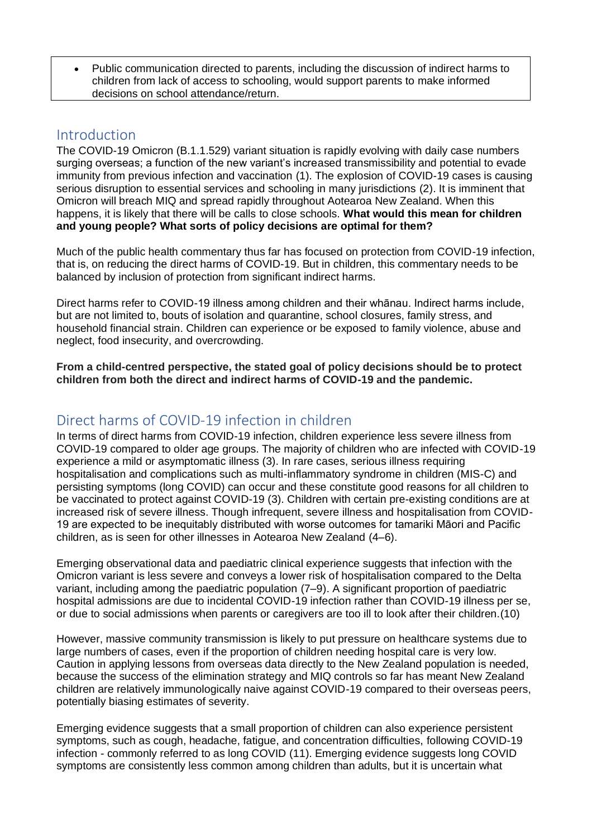• Public communication directed to parents, including the discussion of indirect harms to children from lack of access to schooling, would support parents to make informed decisions on school attendance/return.

## Introduction

The COVID-19 Omicron (B.1.1.529) variant situation is rapidly evolving with daily case numbers surging overseas; a function of the new variant's increased transmissibility and potential to evade immunity from previous infection and vaccination (1). The explosion of COVID-19 cases is causing serious disruption to essential services and schooling in many jurisdictions (2). It is imminent that Omicron will breach MIQ and spread rapidly throughout Aotearoa New Zealand. When this happens, it is likely that there will be calls to close schools. **What would this mean for children and young people? What sorts of policy decisions are optimal for them?**

Much of the public health commentary thus far has focused on protection from COVID-19 infection, that is, on reducing the direct harms of COVID-19. But in children, this commentary needs to be balanced by inclusion of protection from significant indirect harms.

Direct harms refer to COVID-19 illness among children and their whānau. Indirect harms include, but are not limited to, bouts of isolation and quarantine, school closures, family stress, and household financial strain. Children can experience or be exposed to family violence, abuse and neglect, food insecurity, and overcrowding.

**From a child-centred perspective, the stated goal of policy decisions should be to protect children from both the direct and indirect harms of COVID-19 and the pandemic.**

# Direct harms of COVID-19 infection in children

In terms of direct harms from COVID-19 infection, children experience less severe illness from COVID-19 compared to older age groups. The majority of children who are infected with COVID-19 experience a mild or asymptomatic illness (3). In rare cases, serious illness requiring hospitalisation and complications such as multi-inflammatory syndrome in children (MIS-C) and persisting symptoms (long COVID) can occur and these constitute good reasons for all children to be vaccinated to protect against COVID-19 (3). Children with certain pre-existing conditions are at increased risk of severe illness. Though infrequent, severe illness and hospitalisation from COVID-19 are expected to be inequitably distributed with worse outcomes for tamariki Māori and Pacific children, as is seen for other illnesses in Aotearoa New Zealand (4–6).

Emerging observational data and paediatric clinical experience suggests that infection with the Omicron variant is less severe and conveys a lower risk of hospitalisation compared to the Delta variant, including among the paediatric population (7–9). A significant proportion of paediatric hospital admissions are due to incidental COVID-19 infection rather than COVID-19 illness per se, or due to social admissions when parents or caregivers are too ill to look after their children.(10)

However, massive community transmission is likely to put pressure on healthcare systems due to large numbers of cases, even if the proportion of children needing hospital care is very low. Caution in applying lessons from overseas data directly to the New Zealand population is needed, because the success of the elimination strategy and MIQ controls so far has meant New Zealand children are relatively immunologically naive against COVID-19 compared to their overseas peers, potentially biasing estimates of severity.

Emerging evidence suggests that a small proportion of children can also experience persistent symptoms, such as cough, headache, fatigue, and concentration difficulties, following COVID-19 infection - commonly referred to as long COVID (11). Emerging evidence suggests long COVID symptoms are consistently less common among children than adults, but it is uncertain what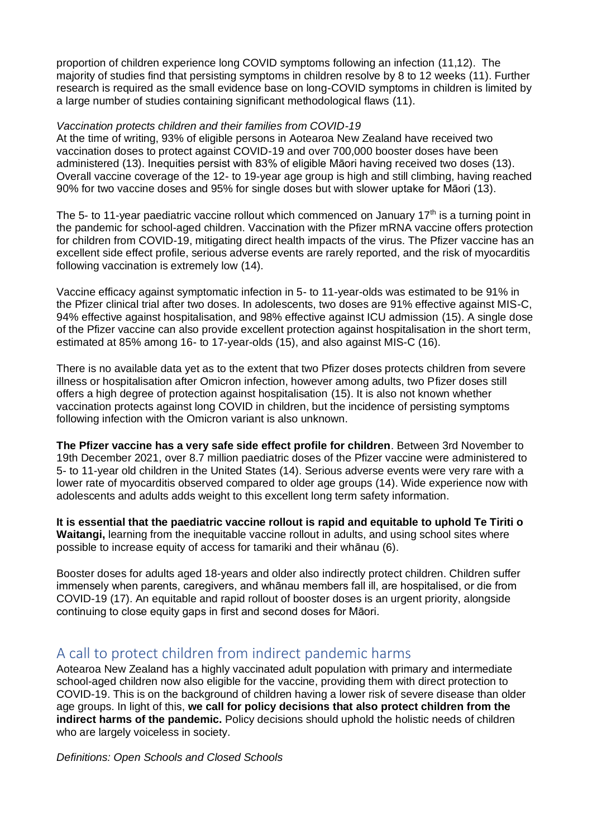proportion of children experience long COVID symptoms following an infection (11,12). The majority of studies find that persisting symptoms in children resolve by 8 to 12 weeks (11). Further research is required as the small evidence base on long-COVID symptoms in children is limited by a large number of studies containing significant methodological flaws (11).

## *Vaccination protects children and their families from COVID-19*

At the time of writing, 93% of eligible persons in Aotearoa New Zealand have received two vaccination doses to protect against COVID-19 and over 700,000 booster doses have been administered (13). Inequities persist with 83% of eligible Māori having received two doses (13). Overall vaccine coverage of the 12- to 19-year age group is high and still climbing, having reached 90% for two vaccine doses and 95% for single doses but with slower uptake for Māori (13).

The 5- to 11-year paediatric vaccine rollout which commenced on January  $17<sup>th</sup>$  is a turning point in the pandemic for school-aged children. Vaccination with the Pfizer mRNA vaccine offers protection for children from COVID-19, mitigating direct health impacts of the virus. The Pfizer vaccine has an excellent side effect profile, serious adverse events are rarely reported, and the risk of myocarditis following vaccination is extremely low (14).

Vaccine efficacy against symptomatic infection in 5- to 11-year-olds was estimated to be 91% in the Pfizer clinical trial after two doses. In adolescents, two doses are 91% effective against MIS-C, 94% effective against hospitalisation, and 98% effective against ICU admission (15). A single dose of the Pfizer vaccine can also provide excellent protection against hospitalisation in the short term, estimated at 85% among 16- to 17-year-olds (15), and also against MIS-C (16).

There is no available data yet as to the extent that two Pfizer doses protects children from severe illness or hospitalisation after Omicron infection, however among adults, two Pfizer doses still offers a high degree of protection against hospitalisation (15). It is also not known whether vaccination protects against long COVID in children, but the incidence of persisting symptoms following infection with the Omicron variant is also unknown.

**The Pfizer vaccine has a very safe side effect profile for children**. Between 3rd November to 19th December 2021, over 8.7 million paediatric doses of the Pfizer vaccine were administered to 5- to 11-year old children in the United States (14). Serious adverse events were very rare with a lower rate of myocarditis observed compared to older age groups (14). Wide experience now with adolescents and adults adds weight to this excellent long term safety information.

**It is essential that the paediatric vaccine rollout is rapid and equitable to uphold Te Tiriti o Waitangi,** learning from the inequitable vaccine rollout in adults, and using school sites where possible to increase equity of access for tamariki and their whānau (6).

Booster doses for adults aged 18-years and older also indirectly protect children. Children suffer immensely when parents, caregivers, and whānau members fall ill, are hospitalised, or die from COVID-19 (17). An equitable and rapid rollout of booster doses is an urgent priority, alongside continuing to close equity gaps in first and second doses for Māori.

# A call to protect children from indirect pandemic harms

Aotearoa New Zealand has a highly vaccinated adult population with primary and intermediate school-aged children now also eligible for the vaccine, providing them with direct protection to COVID-19. This is on the background of children having a lower risk of severe disease than older age groups. In light of this, **we call for policy decisions that also protect children from the indirect harms of the pandemic.** Policy decisions should uphold the holistic needs of children who are largely voiceless in society.

## *Definitions: Open Schools and Closed Schools*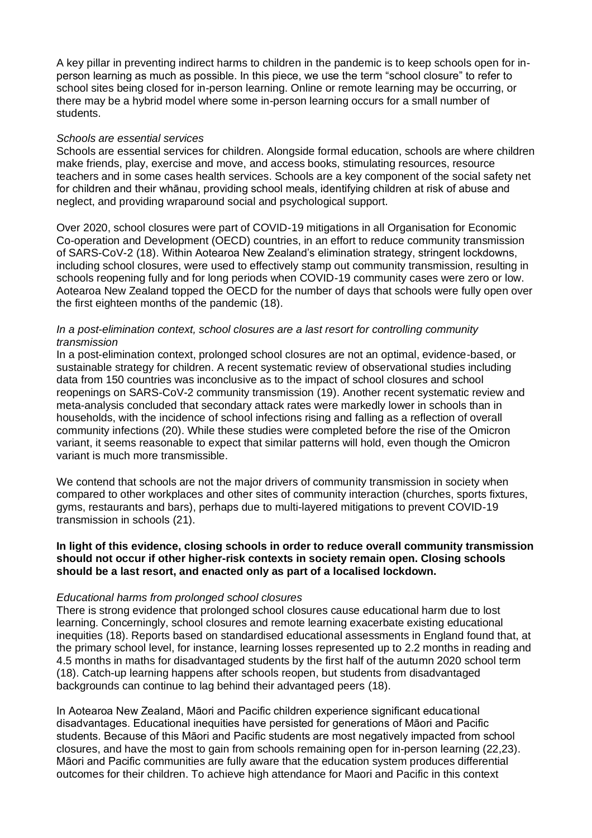A key pillar in preventing indirect harms to children in the pandemic is to keep schools open for inperson learning as much as possible. In this piece, we use the term "school closure" to refer to school sites being closed for in-person learning. Online or remote learning may be occurring, or there may be a hybrid model where some in-person learning occurs for a small number of students.

### *Schools are essential services*

Schools are essential services for children. Alongside formal education, schools are where children make friends, play, exercise and move, and access books, stimulating resources, resource teachers and in some cases health services. Schools are a key component of the social safety net for children and their whānau, providing school meals, identifying children at risk of abuse and neglect, and providing wraparound social and psychological support.

Over 2020, school closures were part of COVID-19 mitigations in all Organisation for Economic Co-operation and Development (OECD) countries, in an effort to reduce community transmission of SARS-CoV-2 (18). Within Aotearoa New Zealand's elimination strategy, stringent lockdowns, including school closures, were used to effectively stamp out community transmission, resulting in schools reopening fully and for long periods when COVID-19 community cases were zero or low. Aotearoa New Zealand topped the OECD for the number of days that schools were fully open over the first eighteen months of the pandemic (18).

## *In a post-elimination context, school closures are a last resort for controlling community transmission*

In a post-elimination context, prolonged school closures are not an optimal, evidence-based, or sustainable strategy for children. A recent systematic review of observational studies including data from 150 countries was inconclusive as to the impact of school closures and school reopenings on SARS-CoV-2 community transmission (19). Another recent systematic review and meta-analysis concluded that secondary attack rates were markedly lower in schools than in households, with the incidence of school infections rising and falling as a reflection of overall community infections (20). While these studies were completed before the rise of the Omicron variant, it seems reasonable to expect that similar patterns will hold, even though the Omicron variant is much more transmissible.

We contend that schools are not the major drivers of community transmission in society when compared to other workplaces and other sites of community interaction (churches, sports fixtures, gyms, restaurants and bars), perhaps due to multi-layered mitigations to prevent COVID-19 transmission in schools (21).

## **In light of this evidence, closing schools in order to reduce overall community transmission should not occur if other higher-risk contexts in society remain open. Closing schools should be a last resort, and enacted only as part of a localised lockdown.**

## *Educational harms from prolonged school closures*

There is strong evidence that prolonged school closures cause educational harm due to lost learning. Concerningly, school closures and remote learning exacerbate existing educational inequities (18). Reports based on standardised educational assessments in England found that, at the primary school level, for instance, learning losses represented up to 2.2 months in reading and 4.5 months in maths for disadvantaged students by the first half of the autumn 2020 school term (18). Catch-up learning happens after schools reopen, but students from disadvantaged backgrounds can continue to lag behind their advantaged peers (18).

In Aotearoa New Zealand, Māori and Pacific children experience significant educational disadvantages. Educational inequities have persisted for generations of Māori and Pacific students. Because of this Māori and Pacific students are most negatively impacted from school closures, and have the most to gain from schools remaining open for in-person learning (22,23). Māori and Pacific communities are fully aware that the education system produces differential outcomes for their children. To achieve high attendance for Maori and Pacific in this context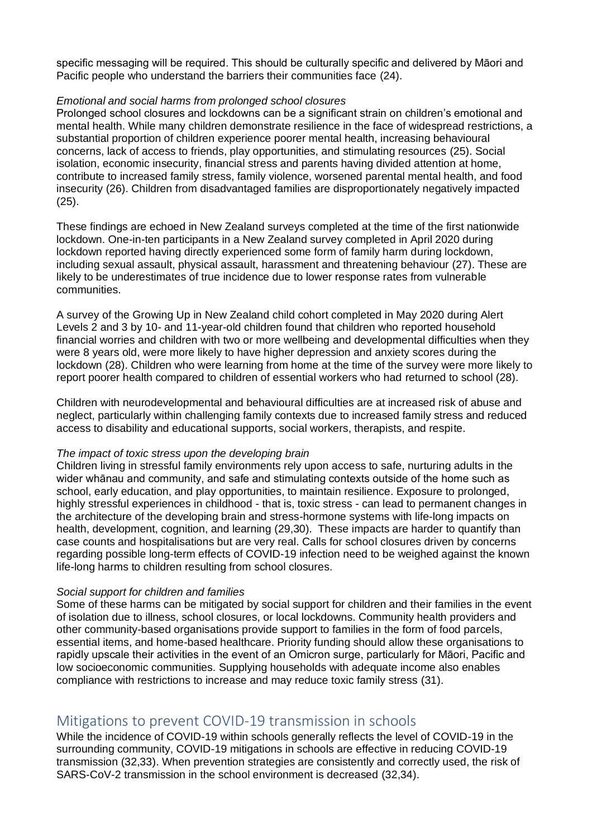specific messaging will be required. This should be culturally specific and delivered by Māori and Pacific people who understand the barriers their communities face (24).

## *Emotional and social harms from prolonged school closures*

Prolonged school closures and lockdowns can be a significant strain on children's emotional and mental health. While many children demonstrate resilience in the face of widespread restrictions, a substantial proportion of children experience poorer mental health, increasing behavioural concerns, lack of access to friends, play opportunities, and stimulating resources (25). Social isolation, economic insecurity, financial stress and parents having divided attention at home, contribute to increased family stress, family violence, worsened parental mental health, and food insecurity (26). Children from disadvantaged families are disproportionately negatively impacted (25).

These findings are echoed in New Zealand surveys completed at the time of the first nationwide lockdown. One-in-ten participants in a New Zealand survey completed in April 2020 during lockdown reported having directly experienced some form of family harm during lockdown, including sexual assault, physical assault, harassment and threatening behaviour (27). These are likely to be underestimates of true incidence due to lower response rates from vulnerable communities.

A survey of the Growing Up in New Zealand child cohort completed in May 2020 during Alert Levels 2 and 3 by 10- and 11-year-old children found that children who reported household financial worries and children with two or more wellbeing and developmental difficulties when they were 8 years old, were more likely to have higher depression and anxiety scores during the lockdown (28). Children who were learning from home at the time of the survey were more likely to report poorer health compared to children of essential workers who had returned to school (28).

Children with neurodevelopmental and behavioural difficulties are at increased risk of abuse and neglect, particularly within challenging family contexts due to increased family stress and reduced access to disability and educational supports, social workers, therapists, and respite.

### *The impact of toxic stress upon the developing brain*

Children living in stressful family environments rely upon access to safe, nurturing adults in the wider whānau and community, and safe and stimulating contexts outside of the home such as school, early education, and play opportunities, to maintain resilience. Exposure to prolonged, highly stressful experiences in childhood - that is, toxic stress - can lead to permanent changes in the architecture of the developing brain and stress-hormone systems with life-long impacts on health, development, cognition, and learning (29,30). These impacts are harder to quantify than case counts and hospitalisations but are very real. Calls for school closures driven by concerns regarding possible long-term effects of COVID-19 infection need to be weighed against the known life-long harms to children resulting from school closures.

## *Social support for children and families*

Some of these harms can be mitigated by social support for children and their families in the event of isolation due to illness, school closures, or local lockdowns. Community health providers and other community-based organisations provide support to families in the form of food parcels, essential items, and home-based healthcare. Priority funding should allow these organisations to rapidly upscale their activities in the event of an Omicron surge, particularly for Māori, Pacific and low socioeconomic communities. Supplying households with adequate income also enables compliance with restrictions to increase and may reduce toxic family stress (31).

## Mitigations to prevent COVID-19 transmission in schools

While the incidence of COVID-19 within schools generally reflects the level of COVID-19 in the surrounding community, COVID-19 mitigations in schools are effective in reducing COVID-19 transmission (32,33). When prevention strategies are consistently and correctly used, the risk of SARS-CoV-2 transmission in the school environment is decreased (32,34).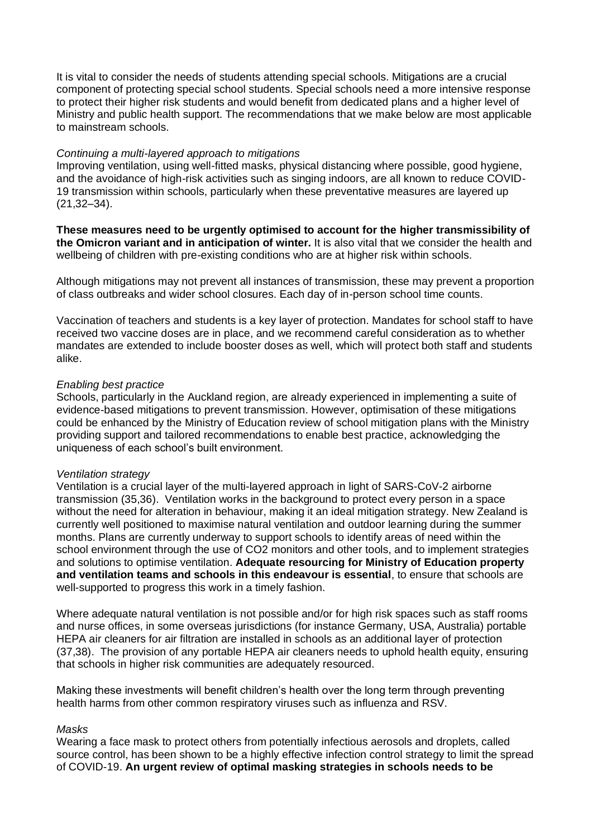It is vital to consider the needs of students attending special schools. Mitigations are a crucial component of protecting special school students. Special schools need a more intensive response to protect their higher risk students and would benefit from dedicated plans and a higher level of Ministry and public health support. The recommendations that we make below are most applicable to mainstream schools.

## *Continuing a multi-layered approach to mitigations*

Improving ventilation, using well-fitted masks, physical distancing where possible, good hygiene, and the avoidance of high-risk activities such as singing indoors, are all known to reduce COVID-19 transmission within schools, particularly when these preventative measures are layered up (21,32–34).

**These measures need to be urgently optimised to account for the higher transmissibility of the Omicron variant and in anticipation of winter.** It is also vital that we consider the health and wellbeing of children with pre-existing conditions who are at higher risk within schools.

Although mitigations may not prevent all instances of transmission, these may prevent a proportion of class outbreaks and wider school closures. Each day of in-person school time counts.

Vaccination of teachers and students is a key layer of protection. Mandates for school staff to have received two vaccine doses are in place, and we recommend careful consideration as to whether mandates are extended to include booster doses as well, which will protect both staff and students alike.

## *Enabling best practice*

Schools, particularly in the Auckland region, are already experienced in implementing a suite of evidence-based mitigations to prevent transmission. However, optimisation of these mitigations could be enhanced by the Ministry of Education review of school mitigation plans with the Ministry providing support and tailored recommendations to enable best practice, acknowledging the uniqueness of each school's built environment.

### *Ventilation strategy*

Ventilation is a crucial layer of the multi-layered approach in light of SARS-CoV-2 airborne transmission (35,36). Ventilation works in the background to protect every person in a space without the need for alteration in behaviour, making it an ideal mitigation strategy. New Zealand is currently well positioned to maximise natural ventilation and outdoor learning during the summer months. Plans are currently underway to support schools to identify areas of need within the school environment through the use of CO2 monitors and other tools, and to implement strategies and solutions to optimise ventilation. **Adequate resourcing for Ministry of Education property and ventilation teams and schools in this endeavour is essential**, to ensure that schools are well-supported to progress this work in a timely fashion.

Where adequate natural ventilation is not possible and/or for high risk spaces such as staff rooms and nurse offices, in some overseas jurisdictions (for instance Germany, USA, Australia) portable HEPA air cleaners for air filtration are installed in schools as an additional layer of protection (37,38). The provision of any portable HEPA air cleaners needs to uphold health equity, ensuring that schools in higher risk communities are adequately resourced.

Making these investments will benefit children's health over the long term through preventing health harms from other common respiratory viruses such as influenza and RSV.

## *Masks*

Wearing a face mask to protect others from potentially infectious aerosols and droplets, called source control, has been shown to be a highly effective infection control strategy to limit the spread of COVID-19. **An urgent review of optimal masking strategies in schools needs to be**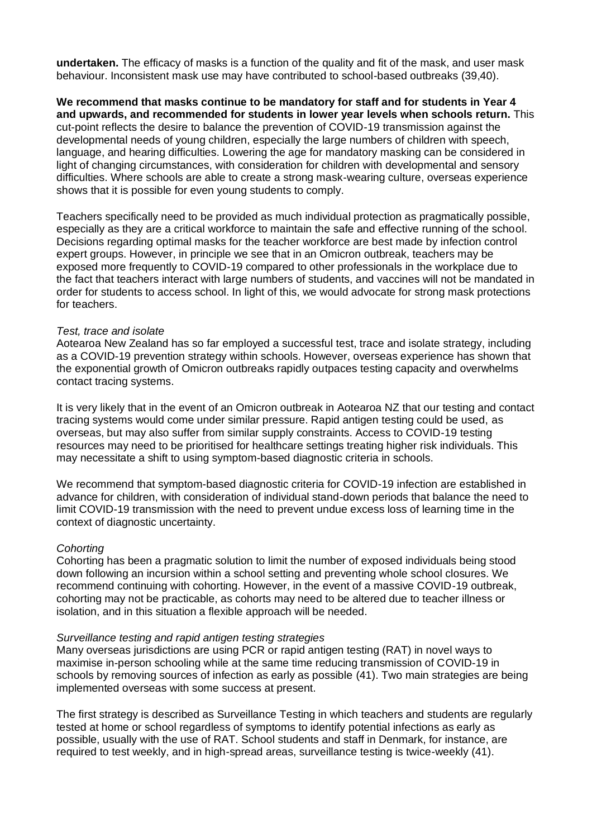**undertaken.** The efficacy of masks is a function of the quality and fit of the mask, and user mask behaviour. Inconsistent mask use may have contributed to school-based outbreaks (39,40).

**We recommend that masks continue to be mandatory for staff and for students in Year 4 and upwards, and recommended for students in lower year levels when schools return.** This cut-point reflects the desire to balance the prevention of COVID-19 transmission against the developmental needs of young children, especially the large numbers of children with speech, language, and hearing difficulties. Lowering the age for mandatory masking can be considered in light of changing circumstances, with consideration for children with developmental and sensory difficulties. Where schools are able to create a strong mask-wearing culture, overseas experience shows that it is possible for even young students to comply.

Teachers specifically need to be provided as much individual protection as pragmatically possible, especially as they are a critical workforce to maintain the safe and effective running of the school. Decisions regarding optimal masks for the teacher workforce are best made by infection control expert groups. However, in principle we see that in an Omicron outbreak, teachers may be exposed more frequently to COVID-19 compared to other professionals in the workplace due to the fact that teachers interact with large numbers of students, and vaccines will not be mandated in order for students to access school. In light of this, we would advocate for strong mask protections for teachers.

#### *Test, trace and isolate*

Aotearoa New Zealand has so far employed a successful test, trace and isolate strategy, including as a COVID-19 prevention strategy within schools. However, overseas experience has shown that the exponential growth of Omicron outbreaks rapidly outpaces testing capacity and overwhelms contact tracing systems.

It is very likely that in the event of an Omicron outbreak in Aotearoa NZ that our testing and contact tracing systems would come under similar pressure. Rapid antigen testing could be used, as overseas, but may also suffer from similar supply constraints. Access to COVID-19 testing resources may need to be prioritised for healthcare settings treating higher risk individuals. This may necessitate a shift to using symptom-based diagnostic criteria in schools.

We recommend that symptom-based diagnostic criteria for COVID-19 infection are established in advance for children, with consideration of individual stand-down periods that balance the need to limit COVID-19 transmission with the need to prevent undue excess loss of learning time in the context of diagnostic uncertainty.

### *Cohorting*

Cohorting has been a pragmatic solution to limit the number of exposed individuals being stood down following an incursion within a school setting and preventing whole school closures. We recommend continuing with cohorting. However, in the event of a massive COVID-19 outbreak, cohorting may not be practicable, as cohorts may need to be altered due to teacher illness or isolation, and in this situation a flexible approach will be needed.

#### *Surveillance testing and rapid antigen testing strategies*

Many overseas jurisdictions are using PCR or rapid antigen testing (RAT) in novel ways to maximise in-person schooling while at the same time reducing transmission of COVID-19 in schools by removing sources of infection as early as possible (41). Two main strategies are being implemented overseas with some success at present.

The first strategy is described as Surveillance Testing in which teachers and students are regularly tested at home or school regardless of symptoms to identify potential infections as early as possible, usually with the use of RAT. School students and staff in Denmark, for instance, are required to test weekly, and in high-spread areas, surveillance testing is twice-weekly (41).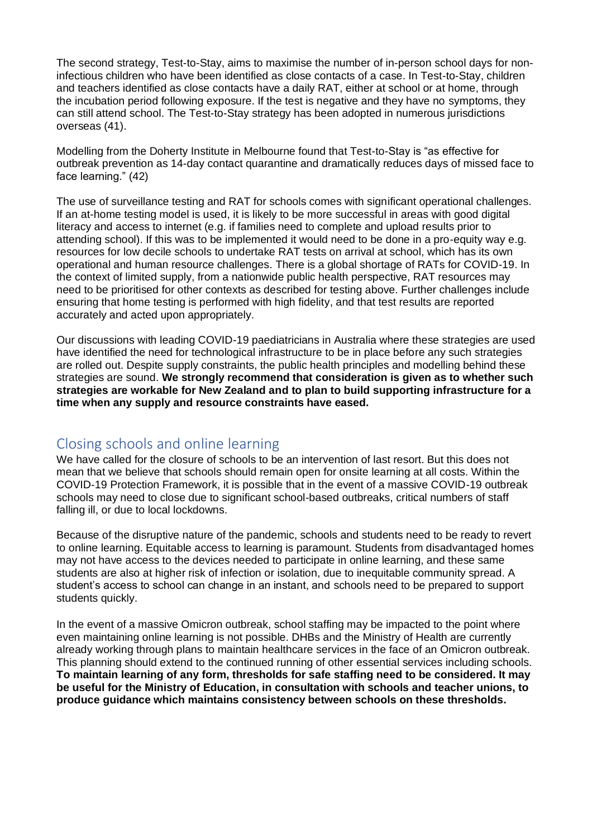The second strategy, Test-to-Stay, aims to maximise the number of in-person school days for noninfectious children who have been identified as close contacts of a case. In Test-to-Stay, children and teachers identified as close contacts have a daily RAT, either at school or at home, through the incubation period following exposure. If the test is negative and they have no symptoms, they can still attend school. The Test-to-Stay strategy has been adopted in numerous jurisdictions overseas (41).

Modelling from the Doherty Institute in Melbourne found that Test-to-Stay is "as effective for outbreak prevention as 14-day contact quarantine and dramatically reduces days of missed face to face learning." (42)

The use of surveillance testing and RAT for schools comes with significant operational challenges. If an at-home testing model is used, it is likely to be more successful in areas with good digital literacy and access to internet (e.g. if families need to complete and upload results prior to attending school). If this was to be implemented it would need to be done in a pro-equity way e.g. resources for low decile schools to undertake RAT tests on arrival at school, which has its own operational and human resource challenges. There is a global shortage of RATs for COVID-19. In the context of limited supply, from a nationwide public health perspective, RAT resources may need to be prioritised for other contexts as described for testing above. Further challenges include ensuring that home testing is performed with high fidelity, and that test results are reported accurately and acted upon appropriately.

Our discussions with leading COVID-19 paediatricians in Australia where these strategies are used have identified the need for technological infrastructure to be in place before any such strategies are rolled out. Despite supply constraints, the public health principles and modelling behind these strategies are sound. **We strongly recommend that consideration is given as to whether such strategies are workable for New Zealand and to plan to build supporting infrastructure for a time when any supply and resource constraints have eased.**

# Closing schools and online learning

We have called for the closure of schools to be an intervention of last resort. But this does not mean that we believe that schools should remain open for onsite learning at all costs. Within the COVID-19 Protection Framework, it is possible that in the event of a massive COVID-19 outbreak schools may need to close due to significant school-based outbreaks, critical numbers of staff falling ill, or due to local lockdowns.

Because of the disruptive nature of the pandemic, schools and students need to be ready to revert to online learning. Equitable access to learning is paramount. Students from disadvantaged homes may not have access to the devices needed to participate in online learning, and these same students are also at higher risk of infection or isolation, due to inequitable community spread. A student's access to school can change in an instant, and schools need to be prepared to support students quickly.

In the event of a massive Omicron outbreak, school staffing may be impacted to the point where even maintaining online learning is not possible. DHBs and the Ministry of Health are currently already working through plans to maintain healthcare services in the face of an Omicron outbreak. This planning should extend to the continued running of other essential services including schools. **To maintain learning of any form, thresholds for safe staffing need to be considered. It may be useful for the Ministry of Education, in consultation with schools and teacher unions, to produce guidance which maintains consistency between schools on these thresholds.**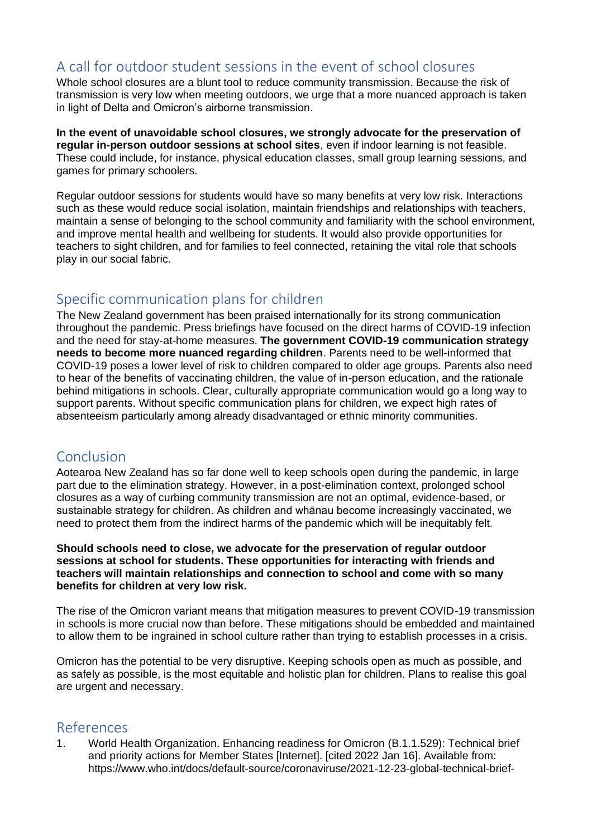# A call for outdoor student sessions in the event of school closures

Whole school closures are a blunt tool to reduce community transmission. Because the risk of transmission is very low when meeting outdoors, we urge that a more nuanced approach is taken in light of Delta and Omicron's airborne transmission.

**In the event of unavoidable school closures, we strongly advocate for the preservation of regular in-person outdoor sessions at school sites**, even if indoor learning is not feasible. These could include, for instance, physical education classes, small group learning sessions, and games for primary schoolers.

Regular outdoor sessions for students would have so many benefits at very low risk. Interactions such as these would reduce social isolation, maintain friendships and relationships with teachers, maintain a sense of belonging to the school community and familiarity with the school environment, and improve mental health and wellbeing for students. It would also provide opportunities for teachers to sight children, and for families to feel connected, retaining the vital role that schools play in our social fabric.

# Specific communication plans for children

The New Zealand government has been praised internationally for its strong communication throughout the pandemic. Press briefings have focused on the direct harms of COVID-19 infection and the need for stay-at-home measures. **The government COVID-19 communication strategy needs to become more nuanced regarding children**. Parents need to be well-informed that COVID-19 poses a lower level of risk to children compared to older age groups. Parents also need to hear of the benefits of vaccinating children, the value of in-person education, and the rationale behind mitigations in schools. Clear, culturally appropriate communication would go a long way to support parents. Without specific communication plans for children, we expect high rates of absenteeism particularly among already disadvantaged or ethnic minority communities.

## Conclusion

Aotearoa New Zealand has so far done well to keep schools open during the pandemic, in large part due to the elimination strategy. However, in a post-elimination context, prolonged school closures as a way of curbing community transmission are not an optimal, evidence-based, or sustainable strategy for children. As children and whānau become increasingly vaccinated, we need to protect them from the indirect harms of the pandemic which will be inequitably felt.

## **Should schools need to close, we advocate for the preservation of regular outdoor sessions at school for students. These opportunities for interacting with friends and teachers will maintain relationships and connection to school and come with so many benefits for children at very low risk.**

The rise of the Omicron variant means that mitigation measures to prevent COVID-19 transmission in schools is more crucial now than before. These mitigations should be embedded and maintained to allow them to be ingrained in school culture rather than trying to establish processes in a crisis.

Omicron has the potential to be very disruptive. Keeping schools open as much as possible, and as safely as possible, is the most equitable and holistic plan for children. Plans to realise this goal are urgent and necessary.

## References

1. World Health Organization. Enhancing readiness for Omicron (B.1.1.529): Technical brief and priority actions for Member States [Internet]. [cited 2022 Jan 16]. Available from: https://www.who.int/docs/default-source/coronaviruse/2021-12-23-global-technical-brief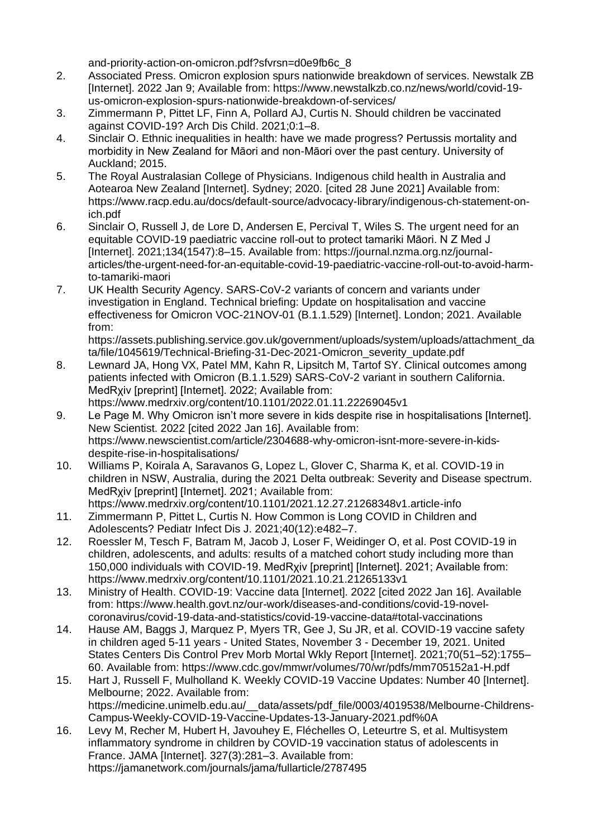and-priority-action-on-omicron.pdf?sfvrsn=d0e9fb6c\_8

- 2. Associated Press. Omicron explosion spurs nationwide breakdown of services. Newstalk ZB [Internet]. 2022 Jan 9; Available from: https://www.newstalkzb.co.nz/news/world/covid-19 us-omicron-explosion-spurs-nationwide-breakdown-of-services/
- 3. Zimmermann P, Pittet LF, Finn A, Pollard AJ, Curtis N. Should children be vaccinated against COVID-19? Arch Dis Child. 2021;0:1–8.
- 4. Sinclair O. Ethnic inequalities in health: have we made progress? Pertussis mortality and morbidity in New Zealand for Māori and non-Māori over the past century. University of Auckland; 2015.
- 5. The Royal Australasian College of Physicians. Indigenous child health in Australia and Aotearoa New Zealand [Internet]. Sydney; 2020. [cited 28 June 2021] Available from: https://www.racp.edu.au/docs/default-source/advocacy-library/indigenous-ch-statement-onich.pdf
- 6. Sinclair O, Russell J, de Lore D, Andersen E, Percival T, Wiles S. The urgent need for an equitable COVID-19 paediatric vaccine roll-out to protect tamariki Māori. N Z Med J [Internet]. 2021;134(1547):8–15. Available from: https://journal.nzma.org.nz/journalarticles/the-urgent-need-for-an-equitable-covid-19-paediatric-vaccine-roll-out-to-avoid-harmto-tamariki-maori
- 7. UK Health Security Agency. SARS-CoV-2 variants of concern and variants under investigation in England. Technical briefing: Update on hospitalisation and vaccine effectiveness for Omicron VOC-21NOV-01 (B.1.1.529) [Internet]. London; 2021. Available from:

https://assets.publishing.service.gov.uk/government/uploads/system/uploads/attachment\_da ta/file/1045619/Technical-Briefing-31-Dec-2021-Omicron\_severity\_update.pdf

- 8. Lewnard JA, Hong VX, Patel MM, Kahn R, Lipsitch M, Tartof SY. Clinical outcomes among patients infected with Omicron (B.1.1.529) SARS-CoV-2 variant in southern California. MedRxiv [preprint] [Internet]. 2022; Available from: https://www.medrxiv.org/content/10.1101/2022.01.11.22269045v1
- 9. Le Page M. Why Omicron isn't more severe in kids despite rise in hospitalisations [Internet]. New Scientist. 2022 [cited 2022 Jan 16]. Available from: https://www.newscientist.com/article/2304688-why-omicron-isnt-more-severe-in-kidsdespite-rise-in-hospitalisations/
- 10. Williams P, Koirala A, Saravanos G, Lopez L, Glover C, Sharma K, et al. COVID-19 in children in NSW, Australia, during the 2021 Delta outbreak: Severity and Disease spectrum. MedRxiv [preprint] [Internet]. 2021: Available from: https://www.medrxiv.org/content/10.1101/2021.12.27.21268348v1.article-info
- 11. Zimmermann P, Pittet L, Curtis N. How Common is Long COVID in Children and Adolescents? Pediatr Infect Dis J. 2021;40(12):e482–7.
- 12. Roessler M, Tesch F, Batram M, Jacob J, Loser F, Weidinger O, et al. Post COVID-19 in children, adolescents, and adults: results of a matched cohort study including more than 150,000 individuals with COVID-19. MedRχiv [preprint] [Internet]. 2021; Available from: https://www.medrxiv.org/content/10.1101/2021.10.21.21265133v1
- 13. Ministry of Health. COVID-19: Vaccine data [Internet]. 2022 [cited 2022 Jan 16]. Available from: https://www.health.govt.nz/our-work/diseases-and-conditions/covid-19-novelcoronavirus/covid-19-data-and-statistics/covid-19-vaccine-data#total-vaccinations
- 14. Hause AM, Baggs J, Marquez P, Myers TR, Gee J, Su JR, et al. COVID-19 vaccine safety in children aged 5-11 years - United States, November 3 - December 19, 2021. United States Centers Dis Control Prev Morb Mortal Wkly Report [Internet]. 2021;70(51–52):1755– 60. Available from: https://www.cdc.gov/mmwr/volumes/70/wr/pdfs/mm705152a1-H.pdf
- 15. Hart J, Russell F, Mulholland K. Weekly COVID-19 Vaccine Updates: Number 40 [Internet]. Melbourne; 2022. Available from: https://medicine.unimelb.edu.au/\_\_data/assets/pdf\_file/0003/4019538/Melbourne-Childrens-Campus-Weekly-COVID-19-Vaccine-Updates-13-January-2021.pdf%0A
- 16. Levy M, Recher M, Hubert H, Javouhey E, Fléchelles O, Leteurtre S, et al. Multisystem inflammatory syndrome in children by COVID-19 vaccination status of adolescents in France. JAMA [Internet]. 327(3):281–3. Available from: https://jamanetwork.com/journals/jama/fullarticle/2787495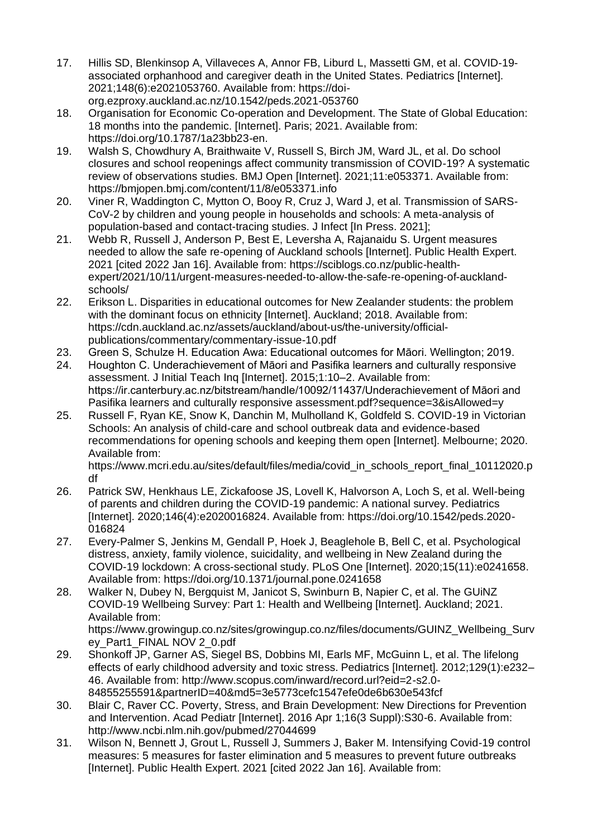- 17. Hillis SD, Blenkinsop A, Villaveces A, Annor FB, Liburd L, Massetti GM, et al. COVID-19 associated orphanhood and caregiver death in the United States. Pediatrics [Internet]. 2021;148(6):e2021053760. Available from: https://doiorg.ezproxy.auckland.ac.nz/10.1542/peds.2021-053760
- 18. Organisation for Economic Co-operation and Development. The State of Global Education: 18 months into the pandemic. [Internet]. Paris; 2021. Available from: https://doi.org/10.1787/1a23bb23-en.
- 19. Walsh S, Chowdhury A, Braithwaite V, Russell S, Birch JM, Ward JL, et al. Do school closures and school reopenings affect community transmission of COVID-19? A systematic review of observations studies. BMJ Open [Internet]. 2021;11:e053371. Available from: https://bmjopen.bmj.com/content/11/8/e053371.info
- 20. Viner R, Waddington C, Mytton O, Booy R, Cruz J, Ward J, et al. Transmission of SARS-CoV-2 by children and young people in households and schools: A meta-analysis of population-based and contact-tracing studies. J Infect [In Press. 2021];
- 21. Webb R, Russell J, Anderson P, Best E, Leversha A, Rajanaidu S. Urgent measures needed to allow the safe re-opening of Auckland schools [Internet]. Public Health Expert. 2021 [cited 2022 Jan 16]. Available from: https://sciblogs.co.nz/public-healthexpert/2021/10/11/urgent-measures-needed-to-allow-the-safe-re-opening-of-aucklandschools/
- 22. Erikson L. Disparities in educational outcomes for New Zealander students: the problem with the dominant focus on ethnicity [Internet]. Auckland; 2018. Available from: https://cdn.auckland.ac.nz/assets/auckland/about-us/the-university/officialpublications/commentary/commentary-issue-10.pdf
- 23. Green S, Schulze H. Education Awa: Educational outcomes for Māori. Wellington; 2019.
- 24. Houghton C. Underachievement of Māori and Pasifika learners and culturally responsive assessment. J Initial Teach Inq [Internet]. 2015;1:10–2. Available from: https://ir.canterbury.ac.nz/bitstream/handle/10092/11437/Underachievement of Māori and Pasifika learners and culturally responsive assessment.pdf?sequence=3&isAllowed=y
- 25. Russell F, Ryan KE, Snow K, Danchin M, Mulholland K, Goldfeld S. COVID-19 in Victorian Schools: An analysis of child-care and school outbreak data and evidence-based recommendations for opening schools and keeping them open [Internet]. Melbourne; 2020. Available from:

https://www.mcri.edu.au/sites/default/files/media/covid\_in\_schools\_report\_final\_10112020.p df

- 26. Patrick SW, Henkhaus LE, Zickafoose JS, Lovell K, Halvorson A, Loch S, et al. Well-being of parents and children during the COVID-19 pandemic: A national survey. Pediatrics [Internet]. 2020;146(4):e2020016824. Available from: https://doi.org/10.1542/peds.2020- 016824
- 27. Every-Palmer S, Jenkins M, Gendall P, Hoek J, Beaglehole B, Bell C, et al. Psychological distress, anxiety, family violence, suicidality, and wellbeing in New Zealand during the COVID-19 lockdown: A cross-sectional study. PLoS One [Internet]. 2020;15(11):e0241658. Available from: https://doi.org/10.1371/journal.pone.0241658
- 28. Walker N, Dubey N, Bergquist M, Janicot S, Swinburn B, Napier C, et al. The GUiNZ COVID-19 Wellbeing Survey: Part 1: Health and Wellbeing [Internet]. Auckland; 2021. Available from:

https://www.growingup.co.nz/sites/growingup.co.nz/files/documents/GUINZ\_Wellbeing\_Surv ey\_Part1\_FINAL NOV 2\_0.pdf

- 29. Shonkoff JP, Garner AS, Siegel BS, Dobbins MI, Earls MF, McGuinn L, et al. The lifelong effects of early childhood adversity and toxic stress. Pediatrics [Internet]. 2012;129(1):e232– 46. Available from: http://www.scopus.com/inward/record.url?eid=2-s2.0- 84855255591&partnerID=40&md5=3e5773cefc1547efe0de6b630e543fcf
- 30. Blair C, Raver CC. Poverty, Stress, and Brain Development: New Directions for Prevention and Intervention. Acad Pediatr [Internet]. 2016 Apr 1;16(3 Suppl):S30-6. Available from: http://www.ncbi.nlm.nih.gov/pubmed/27044699
- 31. Wilson N, Bennett J, Grout L, Russell J, Summers J, Baker M. Intensifying Covid-19 control measures: 5 measures for faster elimination and 5 measures to prevent future outbreaks [Internet]. Public Health Expert. 2021 [cited 2022 Jan 16]. Available from: